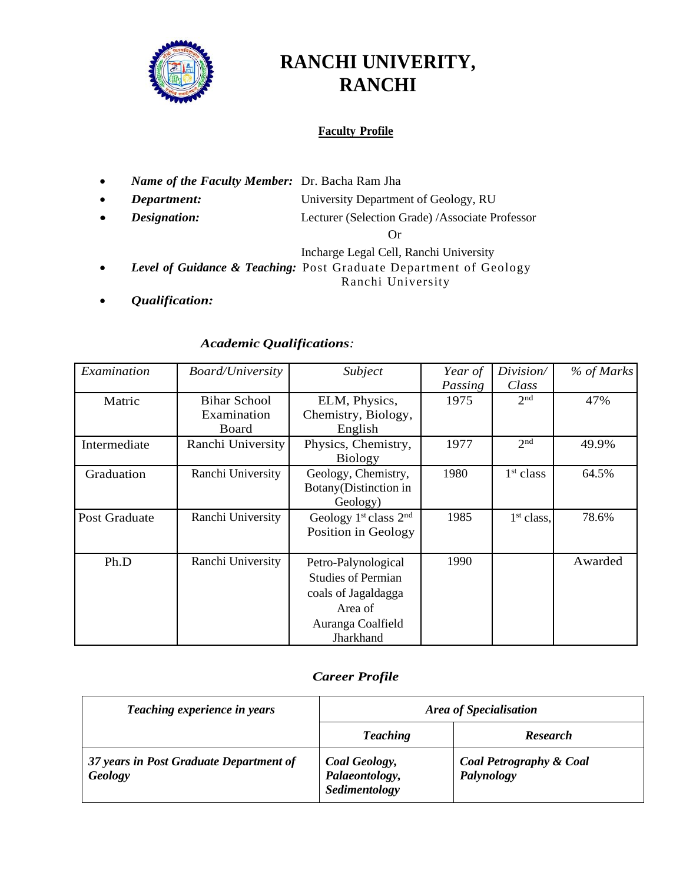

# **RANCHI UNIVERITY, RANCHI**

#### **Faculty Profile**

- *Name of the Faculty Member:* Dr. Bacha Ram Jha
- *Department:* University Department of Geology, RU
- *Designation:* Lecturer (Selection Grade) /Associate Professor

Or

Incharge Legal Cell, Ranchi University

- *Level of Guidance & Teaching:* Post Graduate Department of Geology Ranchi University
- *Qualification:*

#### *Academic Qualifications:*

| Examination   | <b>Board/University</b>                        | Subject                   | Year of | Division/       | % of Marks |
|---------------|------------------------------------------------|---------------------------|---------|-----------------|------------|
|               |                                                |                           | Passing | Class           |            |
| Matric        | <b>Bihar School</b>                            | ELM, Physics,             | 1975    | 2 <sup>nd</sup> | 47%        |
|               | Examination                                    | Chemistry, Biology,       |         |                 |            |
|               | Board                                          | English                   |         |                 |            |
| Intermediate  | Ranchi University                              | Physics, Chemistry,       | 1977    | 2 <sub>nd</sub> | 49.9%      |
|               |                                                | <b>Biology</b>            |         |                 |            |
| Graduation    | Ranchi University                              | Geology, Chemistry,       | 1980    | $1st$ class     | 64.5%      |
|               |                                                | Botany(Distinction in     |         |                 |            |
|               |                                                | Geology)                  |         |                 |            |
| Post Graduate | Ranchi University<br>Geology $1st$ class $2nd$ |                           | 1985    | $1st$ class.    | 78.6%      |
|               |                                                | Position in Geology       |         |                 |            |
|               |                                                |                           |         |                 |            |
| Ph.D          | Ranchi University                              | Petro-Palynological       | 1990    |                 | Awarded    |
|               |                                                | <b>Studies of Permian</b> |         |                 |            |
|               |                                                | coals of Jagaldagga       |         |                 |            |
|               |                                                | Area of                   |         |                 |            |
|               |                                                | Auranga Coalfield         |         |                 |            |
|               |                                                | Jharkhand                 |         |                 |            |

### *Career Profile*

| Teaching experience in years                       | <b>Area of Specialisation</b>                    |                                                  |  |  |
|----------------------------------------------------|--------------------------------------------------|--------------------------------------------------|--|--|
|                                                    | <b>Teaching</b>                                  | <b>Research</b>                                  |  |  |
| 37 years in Post Graduate Department of<br>Geology | Coal Geology,<br>Palaeontology,<br>Sedimentology | <b>Coal Petrography &amp; Coal</b><br>Palynology |  |  |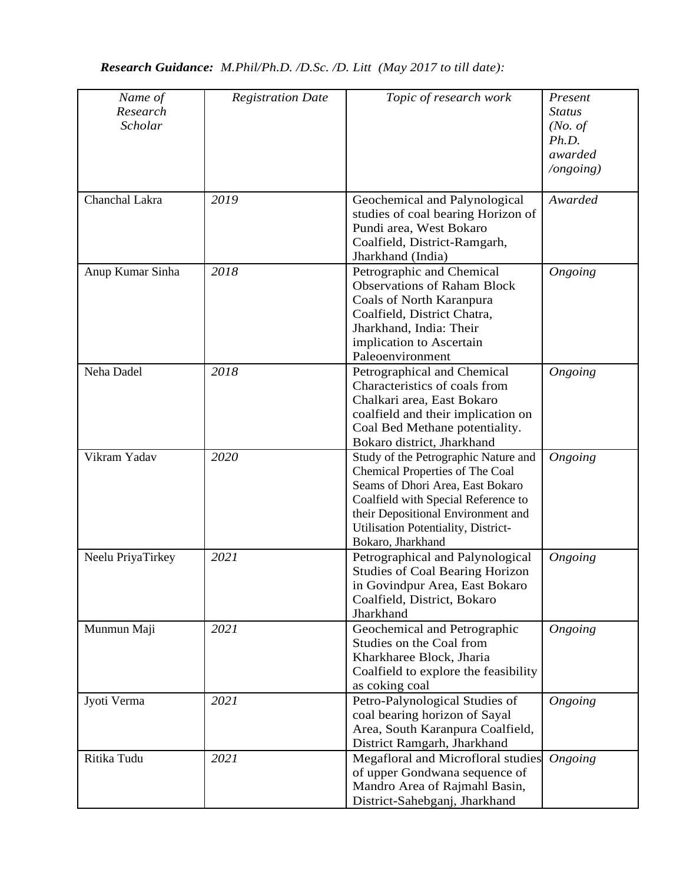## *Research Guidance: M.Phil/Ph.D. /D.Sc. /D. Litt (May 2017 to till date):*

| Name of<br>Research<br>Scholar | <b>Registration Date</b> | Topic of research work                                                                                                                                                                                                                               | Present<br><b>Status</b><br>(No. of)<br>Ph.D.<br>awarded<br>/ongoing) |
|--------------------------------|--------------------------|------------------------------------------------------------------------------------------------------------------------------------------------------------------------------------------------------------------------------------------------------|-----------------------------------------------------------------------|
| Chanchal Lakra                 | 2019                     | Geochemical and Palynological<br>studies of coal bearing Horizon of<br>Pundi area, West Bokaro<br>Coalfield, District-Ramgarh,<br>Jharkhand (India)                                                                                                  | Awarded                                                               |
| Anup Kumar Sinha               | 2018                     | Petrographic and Chemical<br><b>Observations of Raham Block</b><br>Coals of North Karanpura<br>Coalfield, District Chatra,<br>Jharkhand, India: Their<br>implication to Ascertain<br>Paleoenvironment                                                | Ongoing                                                               |
| Neha Dadel                     | 2018                     | Petrographical and Chemical<br>Characteristics of coals from<br>Chalkari area, East Bokaro<br>coalfield and their implication on<br>Coal Bed Methane potentiality.<br>Bokaro district, Jharkhand                                                     | Ongoing                                                               |
| Vikram Yadav                   | 2020                     | Study of the Petrographic Nature and<br>Chemical Properties of The Coal<br>Seams of Dhori Area, East Bokaro<br>Coalfield with Special Reference to<br>their Depositional Environment and<br>Utilisation Potentiality, District-<br>Bokaro, Jharkhand | Ongoing                                                               |
| Neelu PriyaTirkey              | 2021                     | Petrographical and Palynological<br><b>Studies of Coal Bearing Horizon</b><br>in Govindpur Area, East Bokaro<br>Coalfield, District, Bokaro<br>Jharkhand                                                                                             | Ongoing                                                               |
| Munmun Maji                    | 2021                     | Geochemical and Petrographic<br>Studies on the Coal from<br>Kharkharee Block, Jharia<br>Coalfield to explore the feasibility<br>as coking coal                                                                                                       | Ongoing                                                               |
| Jyoti Verma                    | 2021                     | Petro-Palynological Studies of<br>coal bearing horizon of Sayal<br>Area, South Karanpura Coalfield,<br>District Ramgarh, Jharkhand                                                                                                                   | Ongoing                                                               |
| Ritika Tudu                    | 2021                     | Megafloral and Microfloral studies<br>of upper Gondwana sequence of<br>Mandro Area of Rajmahl Basin,<br>District-Sahebganj, Jharkhand                                                                                                                | Ongoing                                                               |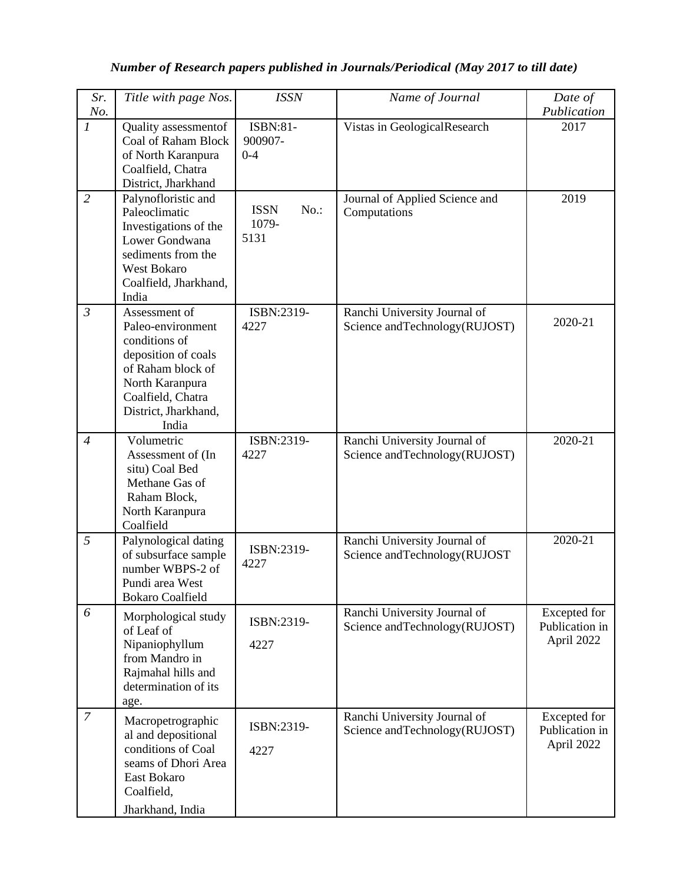## *Number of Research papers published in Journals/Periodical (May 2017 to till date)*

| Sr.<br>No.                  | Title with page Nos.                                                                                                                                                     | <b>ISSN</b>                          | Name of Journal                                                 | Date of<br>Publication                       |
|-----------------------------|--------------------------------------------------------------------------------------------------------------------------------------------------------------------------|--------------------------------------|-----------------------------------------------------------------|----------------------------------------------|
| $\mathcal{I}_{\mathcal{I}}$ | Quality assessmentof<br>Coal of Raham Block<br>of North Karanpura<br>Coalfield, Chatra<br>District, Jharkhand                                                            | ISBN:81-<br>900907-<br>$0 - 4$       | Vistas in GeologicalResearch                                    | 2017                                         |
| $\overline{2}$              | Palynofloristic and<br>Paleoclimatic<br>Investigations of the<br>Lower Gondwana<br>sediments from the<br>West Bokaro<br>Coalfield, Jharkhand,<br>India                   | <b>ISSN</b><br>No.:<br>1079-<br>5131 | Journal of Applied Science and<br>Computations                  | 2019                                         |
| $\mathfrak{Z}$              | Assessment of<br>Paleo-environment<br>conditions of<br>deposition of coals<br>of Raham block of<br>North Karanpura<br>Coalfield, Chatra<br>District, Jharkhand,<br>India | ISBN:2319-<br>4227                   | Ranchi University Journal of<br>Science and Technology (RUJOST) | 2020-21                                      |
| $\overline{4}$              | Volumetric<br>Assessment of (In<br>situ) Coal Bed<br>Methane Gas of<br>Raham Block,<br>North Karanpura<br>Coalfield                                                      | ISBN:2319-<br>4227                   | Ranchi University Journal of<br>Science and Technology (RUJOST) | 2020-21                                      |
| 5                           | Palynological dating<br>of subsurface sample<br>number WBPS-2 of<br>Pundi area West<br><b>Bokaro Coalfield</b>                                                           | ISBN:2319-<br>4227                   | Ranchi University Journal of<br>Science and Technology (RUJOST  | 2020-21                                      |
| 6                           | Morphological study<br>of Leaf of<br>Nipaniophyllum<br>from Mandro in<br>Rajmahal hills and<br>determination of its<br>age.                                              | ISBN:2319-<br>4227                   | Ranchi University Journal of<br>Science and Technology (RUJOST) | Excepted for<br>Publication in<br>April 2022 |
| $\boldsymbol{7}$            | Macropetrographic<br>al and depositional<br>conditions of Coal<br>seams of Dhori Area<br>East Bokaro<br>Coalfield,<br>Jharkhand, India                                   | ISBN:2319-<br>4227                   | Ranchi University Journal of<br>Science and Technology (RUJOST) | Excepted for<br>Publication in<br>April 2022 |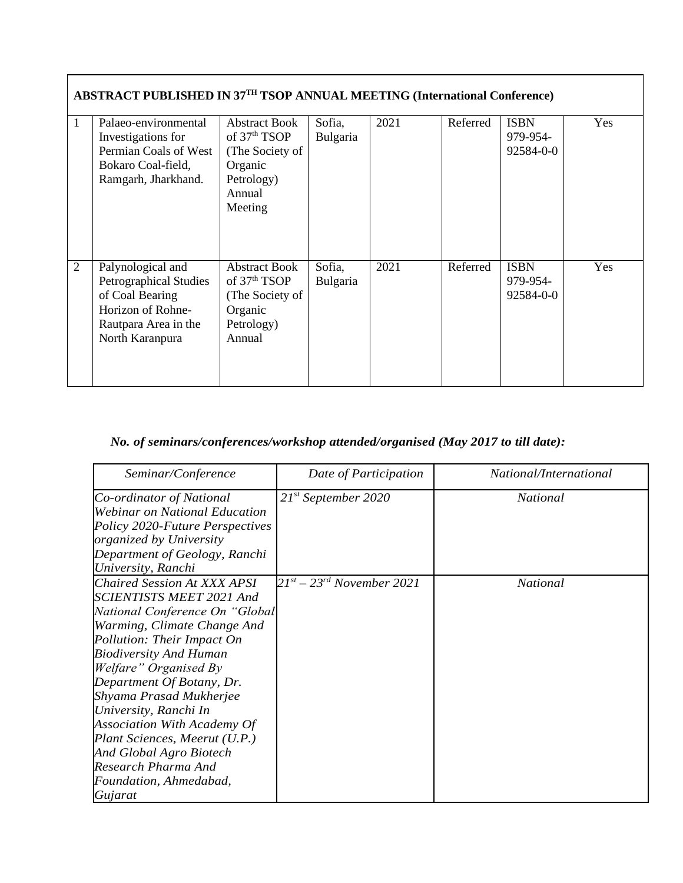|                | <b>ABSTRACT PUBLISHED IN 37TH TSOP ANNUAL MEETING (International Conference)</b>                                                      |                                                                                                                   |                    |      |          |                                      |     |  |
|----------------|---------------------------------------------------------------------------------------------------------------------------------------|-------------------------------------------------------------------------------------------------------------------|--------------------|------|----------|--------------------------------------|-----|--|
|                | Palaeo-environmental<br>Investigations for<br>Permian Coals of West<br>Bokaro Coal-field,<br>Ramgarh, Jharkhand.                      | <b>Abstract Book</b><br>of 37 <sup>th</sup> TSOP<br>(The Society of<br>Organic<br>Petrology)<br>Annual<br>Meeting | Sofia,<br>Bulgaria | 2021 | Referred | <b>ISBN</b><br>979-954-<br>92584-0-0 | Yes |  |
| $\overline{2}$ | Palynological and<br><b>Petrographical Studies</b><br>of Coal Bearing<br>Horizon of Rohne-<br>Rautpara Area in the<br>North Karanpura | <b>Abstract Book</b><br>of $37th TSOP$<br>(The Society of<br>Organic<br>Petrology)<br>Annual                      | Sofia,<br>Bulgaria | 2021 | Referred | <b>ISBN</b><br>979-954-<br>92584-0-0 | Yes |  |

## *No. of seminars/conferences/workshop attended/organised (May 2017 to till date):*

| Seminar/Conference                                                                                                                                                                                                                                                                                                                                                                                                                                       | Date of Participation               | National/International |
|----------------------------------------------------------------------------------------------------------------------------------------------------------------------------------------------------------------------------------------------------------------------------------------------------------------------------------------------------------------------------------------------------------------------------------------------------------|-------------------------------------|------------------------|
| Co-ordinator of National<br><b>Webinar on National Education</b><br>Policy 2020-Future Perspectives<br><i>organized by University</i><br>Department of Geology, Ranchi<br>University, Ranchi                                                                                                                                                                                                                                                             | $21^{st}$ September 2020            | <i>National</i>        |
| Chaired Session At XXX APSI<br>SCIENTISTS MEET 2021 And<br>National Conference On "Global<br>Warming, Climate Change And<br>Pollution: Their Impact On<br><b>Biodiversity And Human</b><br>Welfare" Organised By<br>Department Of Botany, Dr.<br>Shyama Prasad Mukherjee<br>University, Ranchi In<br>Association With Academy Of<br>Plant Sciences, Meerut (U.P.)<br>And Global Agro Biotech<br>Research Pharma And<br>Foundation, Ahmedabad,<br>Gujarat | $21^{st}$ – $23^{rd}$ November 2021 | <i>National</i>        |